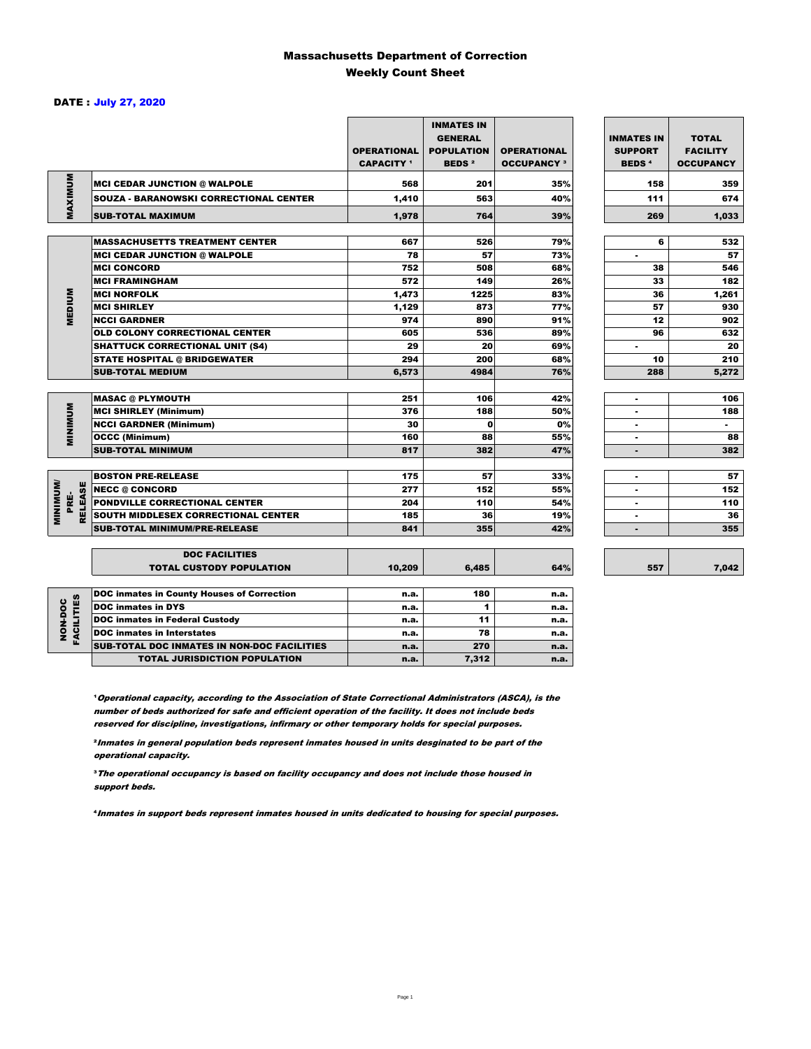### Massachusetts Department of Correction Weekly Count Sheet

### DATE : July 27, 2020

|                                           |                                                          | <b>OPERATIONAL</b><br><b>CAPACITY</b> 1 | <b>INMATES IN</b><br><b>GENERAL</b><br><b>POPULATION</b><br><b>BEDS<sup>2</sup></b> | <b>OPERATIONAL</b><br><b>OCCUPANCY 3</b> | <b>INMATES IN</b><br><b>SUPPORT</b><br><b>BEDS<sup>4</sup></b> | <b>TOTAL</b><br><b>FACILITY</b><br><b>OCCUPANCY</b> |
|-------------------------------------------|----------------------------------------------------------|-----------------------------------------|-------------------------------------------------------------------------------------|------------------------------------------|----------------------------------------------------------------|-----------------------------------------------------|
|                                           | <b>MCI CEDAR JUNCTION @ WALPOLE</b>                      | 568                                     | 201                                                                                 | 35%                                      | 158                                                            | 359                                                 |
|                                           | <b>SOUZA - BARANOWSKI CORRECTIONAL CENTER</b>            | 1,410                                   | 563                                                                                 | 40%                                      | 111                                                            | 674                                                 |
| MAXIMUM                                   | <b>SUB-TOTAL MAXIMUM</b>                                 | 1,978                                   | 764                                                                                 | 39%                                      | 269                                                            | 1,033                                               |
|                                           |                                                          |                                         |                                                                                     |                                          |                                                                |                                                     |
|                                           | <b>MASSACHUSETTS TREATMENT CENTER</b>                    | 667                                     | 526                                                                                 | 79%                                      | 6                                                              | 532                                                 |
|                                           | <b>MCI CEDAR JUNCTION @ WALPOLE</b>                      | 78                                      | 57                                                                                  | 73%                                      | ٠                                                              | 57                                                  |
|                                           | <b>MCI CONCORD</b>                                       | 752                                     | 508                                                                                 | 68%                                      | 38                                                             | 546                                                 |
|                                           | <b>MCI FRAMINGHAM</b>                                    | 572                                     | 149                                                                                 | 26%                                      | 33                                                             | 182                                                 |
|                                           | <b>MCI NORFOLK</b>                                       | 1,473                                   | 1225                                                                                | 83%                                      | 36                                                             | 1,261                                               |
| <b>MEDIUM</b>                             | <b>MCI SHIRLEY</b>                                       | 1,129                                   | 873                                                                                 | 77%                                      | 57                                                             | 930                                                 |
|                                           | <b>NCCI GARDNER</b>                                      | 974                                     | 890                                                                                 | 91%                                      | 12                                                             | 902                                                 |
|                                           | <b>OLD COLONY CORRECTIONAL CENTER</b>                    | 605                                     | 536                                                                                 | 89%                                      | 96                                                             | 632                                                 |
|                                           | <b>SHATTUCK CORRECTIONAL UNIT (S4)</b>                   | 29                                      | 20                                                                                  | 69%                                      | $\overline{\phantom{a}}$                                       | 20                                                  |
|                                           | <b>STATE HOSPITAL @ BRIDGEWATER</b>                      | 294                                     | 200                                                                                 | 68%                                      | 10                                                             | 210                                                 |
|                                           | <b>SUB-TOTAL MEDIUM</b>                                  | 6,573                                   | 4984                                                                                | 76%                                      | 288                                                            | 5,272                                               |
|                                           |                                                          |                                         |                                                                                     |                                          |                                                                |                                                     |
|                                           | <b>MASAC @ PLYMOUTH</b>                                  | 251                                     | 106                                                                                 | 42%                                      |                                                                | 106                                                 |
| <b>MINIMUM</b>                            | <b>MCI SHIRLEY (Minimum)</b>                             | 376                                     | 188                                                                                 | 50%                                      |                                                                | 188                                                 |
|                                           | <b>NCCI GARDNER (Minimum)</b>                            | 30                                      | $\Omega$                                                                            | 0%                                       | ٠                                                              | $\sim$                                              |
|                                           | <b>OCCC (Minimum)</b>                                    | 160                                     | 88                                                                                  | 55%                                      | ٠                                                              | 88                                                  |
|                                           | <b>SUB-TOTAL MINIMUM</b>                                 | 817                                     | 382                                                                                 | 47%                                      | $\blacksquare$                                                 | 382                                                 |
|                                           |                                                          |                                         |                                                                                     |                                          |                                                                |                                                     |
|                                           | <b>BOSTON PRE-RELEASE</b>                                | 175                                     | 57                                                                                  | 33%                                      | $\blacksquare$                                                 | 57                                                  |
|                                           | <b>NECC @ CONCORD</b>                                    | 277                                     | 152                                                                                 | 55%                                      |                                                                | 152                                                 |
| <b>MINIMINI</b><br><b>RELEASE</b><br>PRE- | PONDVILLE CORRECTIONAL CENTER                            | 204                                     | 110                                                                                 | 54%                                      | ٠                                                              | 110                                                 |
|                                           | SOUTH MIDDLESEX CORRECTIONAL CENTER                      | 185                                     | 36                                                                                  | 19%                                      | ٠                                                              | 36                                                  |
|                                           | <b>SUB-TOTAL MINIMUM/PRE-RELEASE</b>                     | 841                                     | 355                                                                                 | 42%                                      | $\blacksquare$                                                 | 355                                                 |
|                                           |                                                          |                                         |                                                                                     |                                          |                                                                |                                                     |
|                                           | <b>DOC FACILITIES</b><br><b>TOTAL CUSTODY POPULATION</b> | 10,209                                  | 6,485                                                                               | 64%                                      | 557                                                            | 7,042                                               |
|                                           |                                                          |                                         |                                                                                     |                                          |                                                                |                                                     |
|                                           | <b>DOC inmates in County Houses of Correction</b>        | n.a.                                    | 180                                                                                 | n.a.                                     |                                                                |                                                     |
|                                           | <b>DOC inmates in DYS</b>                                | n.a.                                    | 1                                                                                   | n.a.                                     |                                                                |                                                     |
| <b>FACILITIES</b><br>NON-DOC              | <b>DOC inmates in Federal Custody</b>                    | n.a.                                    | 11                                                                                  | n.a.                                     |                                                                |                                                     |
|                                           | <b>DOC</b> inmates in Interstates                        | n.a.                                    | 78                                                                                  | n.a.                                     |                                                                |                                                     |
|                                           | CUR TOTAL BOO INIAATEC IN NON BOO FAOILITIES             |                                         | 272                                                                                 |                                          |                                                                |                                                     |

**Operational capacity, according to the Association of State Correctional Administrators (ASCA), is the** number of beds authorized for safe and efficient operation of the facility. It does not include beds reserved for discipline, investigations, infirmary or other temporary holds for special purposes.

SUB-TOTAL DOC INMATES IN NON-DOC FACILITIES n.a. 270 n.a.

TOTAL JURISDICTION POPULATION **n.a.** 7,312 n.a.

²Inmates in general population beds represent inmates housed in units desginated to be part of the operational capacity.

³The operational occupancy is based on facility occupancy and does not include those housed in support beds.

⁴Inmates in support beds represent inmates housed in units dedicated to housing for special purposes.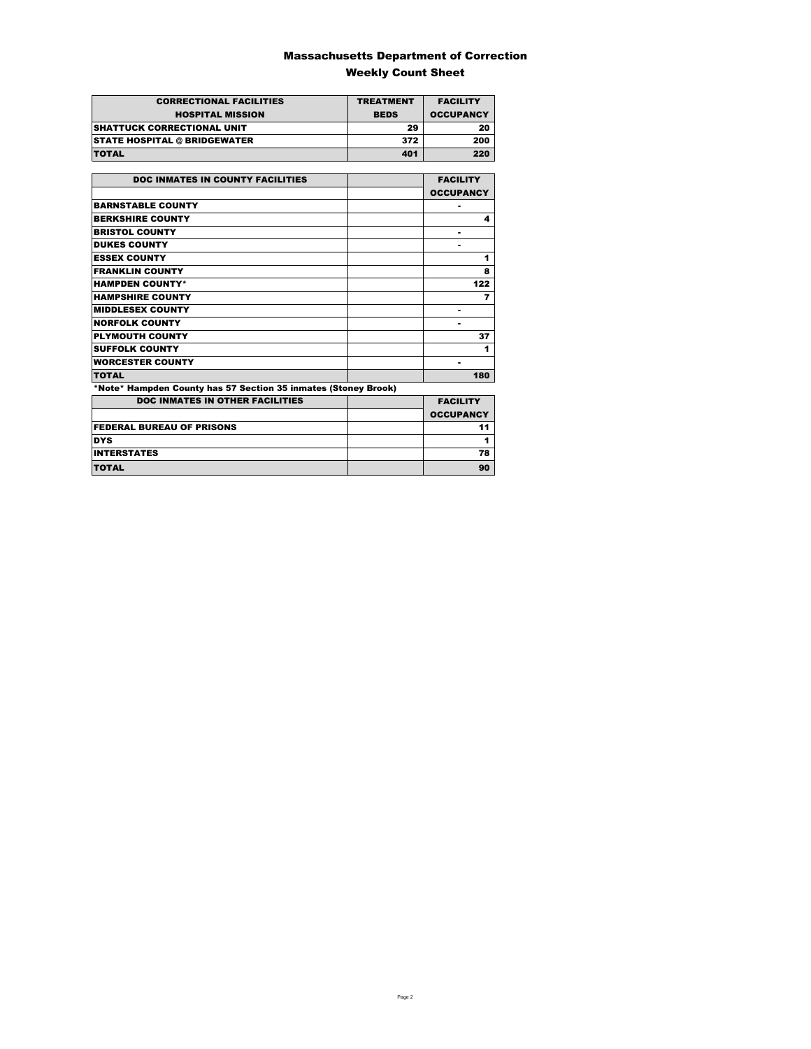### Massachusetts Department of Correction Weekly Count Sheet

| <b>CORRECTIONAL FACILITIES</b>      | <b>TREATMENT</b> | <b>FACILITY</b>  |
|-------------------------------------|------------------|------------------|
| <b>HOSPITAL MISSION</b>             | <b>BEDS</b>      | <b>OCCUPANCY</b> |
| <b>SHATTUCK CORRECTIONAL UNIT</b>   | 29               | 20               |
| <b>STATE HOSPITAL @ BRIDGEWATER</b> | 372              | 200              |
| <b>TOTAL</b>                        | 401              | 220              |

| <b>DOC INMATES IN COUNTY FACILITIES</b>                        | <b>FACILITY</b>  |
|----------------------------------------------------------------|------------------|
|                                                                | <b>OCCUPANCY</b> |
| <b>BARNSTABLE COUNTY</b>                                       |                  |
| <b>BERKSHIRE COUNTY</b>                                        | 4                |
| <b>BRISTOL COUNTY</b>                                          |                  |
| <b>DUKES COUNTY</b>                                            |                  |
| <b>ESSEX COUNTY</b>                                            | 1                |
| <b>FRANKLIN COUNTY</b>                                         | 8                |
| <b>HAMPDEN COUNTY*</b>                                         | 122              |
| <b>HAMPSHIRE COUNTY</b>                                        | 7                |
| <b>MIDDLESEX COUNTY</b>                                        |                  |
| <b>NORFOLK COUNTY</b>                                          |                  |
| <b>PLYMOUTH COUNTY</b>                                         | 37               |
| <b>SUFFOLK COUNTY</b>                                          | 1                |
| <b>WORCESTER COUNTY</b>                                        | ٠                |
| <b>TOTAL</b>                                                   | 180              |
| *Note* Hampden County has 57 Section 35 inmates (Stoney Brook) |                  |
| <b>DOC INMATES IN OTHER FACILITIES</b>                         | <b>FACILITY</b>  |
|                                                                | <b>OCCUPANCY</b> |
| <b>FEDERAL BUREAU OF PRISONS</b>                               | 11               |
| <b>DYS</b>                                                     | 1                |
| <b>INTERSTATES</b>                                             | 78               |
| TOTAL                                                          | 90               |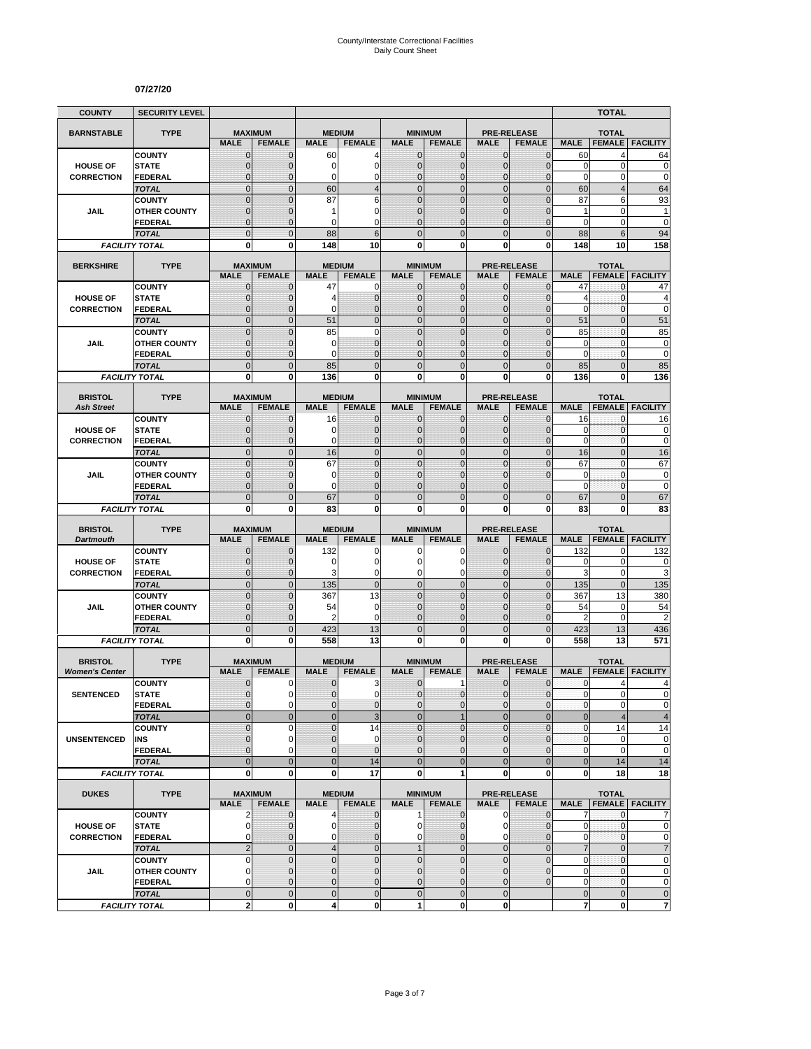#### **07/27/20**

| <b>COUNTY</b>                       | <b>SECURITY LEVEL</b>                 |                                  |                               |                              |                                |                            |                                  |                              |                                     |                             | <b>TOTAL</b>                   |                               |
|-------------------------------------|---------------------------------------|----------------------------------|-------------------------------|------------------------------|--------------------------------|----------------------------|----------------------------------|------------------------------|-------------------------------------|-----------------------------|--------------------------------|-------------------------------|
| <b>BARNSTABLE</b>                   | <b>TYPE</b>                           | <b>MAXIMUM</b>                   |                               |                              | <b>MEDIUM</b>                  |                            | <b>MINIMUM</b>                   |                              | <b>PRE-RELEASE</b>                  |                             | <b>TOTAL</b>                   |                               |
|                                     |                                       | <b>MALE</b>                      | <b>FEMALE</b>                 | <b>MALE</b>                  | <b>FEMALE</b>                  | <b>MALE</b>                | <b>FEMALE</b>                    | <b>MALE</b>                  | <b>FEMALE</b>                       | <b>MALE</b>                 | <b>FEMALE</b>                  | <b>FACILITY</b>               |
|                                     | <b>COUNTY</b>                         | $\mathbf 0$                      | $\mathbf{0}$                  | 60                           | 4                              | $\mathbf{0}$               | 0                                | $\mathbf{0}$                 | $\overline{0}$                      | 60                          | 4                              | 64                            |
| <b>HOUSE OF</b>                     | <b>STATE</b>                          | $\overline{0}$<br>0              | $\mathbf 0$                   | 0<br>0                       | $\mathbf 0$<br>$\mathbf 0$     | $\overline{0}$             | $\overline{0}$                   | $\mathbf 0$                  | $\overline{0}$<br>0                 | $\mathbf 0$<br>$\pmb{0}$    | $\mathbf 0$<br>0               | $\mathbf 0$<br>$\mathbf 0$    |
| <b>CORRECTION</b>                   | <b>FEDERAL</b><br><b>TOTAL</b>        | $\overline{0}$                   | 0<br>$\overline{0}$           | 60                           | $\overline{4}$                 | 0<br>$\mathbf 0$           | $\mathbf 0$<br>$\mathbf 0$       | $\mathbf 0$<br>$\mathbf{0}$  | $\mathbf 0$                         | 60                          | $\overline{4}$                 | 64                            |
|                                     | <b>COUNTY</b>                         | $\overline{0}$                   | $\mathbf 0$                   | 87                           | 6                              | $\Omega$                   | $\mathbf 0$                      | $\mathbf{0}$                 | $\overline{0}$                      | 87                          | 6                              | 93                            |
| JAIL                                | <b>OTHER COUNTY</b>                   | $\mathbf{0}$                     | $\mathbf 0$                   | 1                            | $\mathbf 0$                    | $\overline{0}$             | $\overline{0}$                   | $\Omega$                     | $\overline{0}$                      | $\mathbf{1}$                | 0                              | $\mathbf{1}$                  |
|                                     | <b>FEDERAL</b>                        | $\mathbf 0$                      | $\Omega$                      | $\Omega$                     | $\Omega$                       | $\Omega$                   | $\overline{0}$                   | $\Omega$                     | $\overline{0}$                      | 0                           | 0                              | $\mathbf 0$                   |
|                                     | <b>TOTAL</b>                          | $\overline{0}$                   | $\Omega$                      | 88                           | 6                              | $\Omega$                   | $\overline{0}$                   | $\Omega$                     | $\overline{0}$                      | 88                          | 6                              | 94                            |
|                                     | <b>FACILITY TOTAL</b>                 | 0                                | $\bf{0}$                      | 148                          | 10                             | 0                          | 0                                | 0                            | 0                                   | 148                         | 10                             | 158                           |
| <b>BERKSHIRE</b>                    | <b>TYPE</b>                           |                                  | <b>MAXIMUM</b>                |                              | <b>MEDIUM</b>                  |                            | <b>MINIMUM</b>                   |                              | <b>PRE-RELEASE</b>                  |                             | <b>TOTAL</b>                   |                               |
|                                     |                                       | <b>MALE</b>                      | <b>FEMALE</b>                 | <b>MALE</b>                  | <b>FEMALE</b>                  | <b>MALE</b>                | <b>FEMALE</b>                    | <b>MALE</b>                  | <b>FEMALE</b>                       | <b>MALE</b>                 | <b>FEMALE</b>                  | <b>FACILITY</b>               |
|                                     | <b>COUNTY</b>                         | $\mathbf 0$                      | $\mathbf 0$                   | 47                           | 0                              | 0                          | $\mathbf{0}$                     | $\mathbf{0}$                 | $\mathbf{0}$                        | 47                          | 0                              | 47                            |
| <b>HOUSE OF</b>                     | <b>STATE</b>                          | $\mathbf 0$                      | $\mathbf 0$                   | 4                            | $\mathbf 0$                    | $\mathbf{0}$               | $\mathbf 0$                      | $\mathbf{0}$                 | $\overline{0}$                      | $\overline{4}$              | 0                              | 4                             |
| <b>CORRECTION</b>                   | <b>FEDERAL</b>                        | $\overline{0}$                   | $\mathbf 0$                   | 0                            | $\mathbf 0$                    | 0                          | $\overline{0}$                   | $\mathbf 0$                  | $\overline{0}$                      | $\mathbf 0$                 | $\mathbf 0$                    | $\mathbf 0$                   |
|                                     | <b>TOTAL</b><br><b>COUNTY</b>         | $\overline{0}$<br>$\overline{0}$ | $\overline{0}$<br>$\mathbf 0$ | 51<br>85                     | $\mathbf 0$<br>$\mathbf 0$     | $\mathbf 0$<br>$\mathbf 0$ | $\overline{0}$<br>$\overline{0}$ | $\mathbf{0}$<br>$\mathbf{0}$ | $\overline{0}$<br>$\overline{0}$    | 51<br>85                    | $\overline{0}$<br>$\mathbf{0}$ | 51<br>85                      |
| <b>JAIL</b>                         | <b>OTHER COUNTY</b>                   | $\mathbf{0}$                     | $\mathbf 0$                   | 0                            | $\mathbf{0}$                   | $\Omega$                   | $\overline{0}$                   | $\Omega$                     | $\overline{0}$                      | 0                           | $\mathbf{0}$                   | $\pmb{0}$                     |
|                                     | <b>FEDERAL</b>                        | $\mathbf 0$                      | $\mathbf 0$                   | 0                            | $\mathbf{0}$                   | $\mathbf{0}$               | $\mathbf 0$                      | $\mathbf{0}$                 | $\overline{0}$                      | $\mathbf 0$                 | $\mathbf{0}$                   | $\mathbf 0$                   |
|                                     | <b>TOTAL</b>                          | $\mathbf 0$                      | $\overline{0}$                | 85                           | $\mathbf 0$                    | $\overline{0}$             | $\mathbf 0$                      | $\mathbf{0}$                 | $\mathbf 0$                         | 85                          | $\overline{0}$                 | 85                            |
|                                     | <b>FACILITY TOTAL</b>                 | 0                                | 0                             | 136                          | 0                              | $\mathbf{0}$               | 0                                | $\bf{0}$                     | 0                                   | 136                         | 0                              | 136                           |
|                                     |                                       |                                  |                               |                              |                                |                            |                                  |                              |                                     |                             |                                |                               |
| <b>BRISTOL</b><br><b>Ash Street</b> | <b>TYPE</b>                           | <b>MAXIMUM</b><br><b>MALE</b>    | <b>FEMALE</b>                 | <b>MALE</b>                  | <b>MEDIUM</b><br><b>FEMALE</b> | <b>MALE</b>                | <b>MINIMUM</b><br><b>FEMALE</b>  | <b>MALE</b>                  | <b>PRE-RELEASE</b><br><b>FEMALE</b> | <b>MALE</b>                 | <b>TOTAL</b>                   | <b>FEMALE FACILITY</b>        |
|                                     | <b>COUNTY</b>                         | $\mathbf 0$                      | $\mathbf 0$                   | 16                           | $\mathbf{0}$                   | $\mathbf{0}$               | 0                                | $\mathbf{0}$                 | 0                                   | 16                          | 0                              | 16                            |
| <b>HOUSE OF</b>                     | <b>STATE</b>                          | $\overline{0}$                   | $\mathbf 0$                   | 0                            | $\mathbf 0$                    | $\Omega$                   | $\mathbf 0$                      | $\mathbf{0}$                 | $\overline{0}$                      | 0                           | 0                              | $\pmb{0}$                     |
| <b>CORRECTION</b>                   | <b>FEDERAL</b>                        | $\mathbf{0}$                     | $\mathbf 0$                   | $\Omega$                     | $\mathbf 0$                    | $\Omega$                   | $\mathbf 0$                      | $\mathbf{0}$                 | $\overline{0}$                      | $\mathbf 0$                 | $\mathbf{0}$                   | $\mathbf 0$                   |
|                                     | <b>TOTAL</b>                          | $\overline{0}$                   | $\Omega$                      | 16                           | $\overline{0}$                 | $\mathbf 0$                | $\overline{0}$                   | $\mathbf{0}$                 | $\overline{0}$                      | 16                          | $\overline{0}$                 | 16                            |
|                                     | <b>COUNTY</b>                         | $\overline{0}$                   | $\Omega$                      | 67                           | $\overline{0}$                 | $\overline{0}$             | $\overline{0}$                   | $\Omega$                     | 0                                   | 67                          | $\overline{0}$                 | 67                            |
| JAIL                                | <b>OTHER COUNTY</b>                   | $\mathbf 0$<br>$\overline{0}$    | $\mathbf 0$                   | 0<br>$\Omega$                | $\mathbf 0$<br>$\overline{0}$  | $\mathbf{0}$<br>$\Omega$   | $\mathbf 0$                      | $\mathbf 0$<br>$\Omega$      | 0                                   | $\mathbf 0$<br>$\mathbf 0$  | $\mathbf{0}$                   | $\mathbf 0$<br>$\mathbf 0$    |
|                                     | <b>FEDERAL</b><br><b>TOTAL</b>        | $\overline{0}$                   | $\mathbf 0$<br>$\mathbf{0}$   | 67                           | $\mathbf 0$                    | $\mathbf{0}$               | 0<br>$\overline{0}$              | $\Omega$                     | $\overline{0}$                      | 67                          | 0<br>$\overline{0}$            | 67                            |
|                                     | <b>FACILITY TOTAL</b>                 | 0                                | 0                             | 83                           | 0                              | $\mathbf{0}$               | 0                                | 0                            | 0                                   | 83                          | 0                              | 83                            |
|                                     |                                       |                                  |                               |                              |                                |                            |                                  |                              |                                     |                             |                                |                               |
| <b>BRISTOL</b>                      | <b>TYPE</b>                           | <b>MAXIMUM</b>                   |                               |                              | <b>MEDIUM</b>                  |                            | <b>MINIMUM</b>                   |                              | <b>PRE-RELEASE</b>                  |                             | <b>TOTAL</b>                   |                               |
| <b>Dartmouth</b>                    | <b>COUNTY</b>                         | <b>MALE</b><br>$\mathbf 0$       | <b>FEMALE</b><br>$\mathbf 0$  | <b>MALE</b><br>132           | <b>FEMALE</b><br>0             | <b>MALE</b><br>0           | <b>FEMALE</b><br>0               | <b>MALE</b><br>$\mathbf{0}$  | <b>FEMALE</b><br>$\overline{0}$     | <b>MALE</b><br>132          | <b>FEMALE</b><br>0             | <b>FACILITY</b><br>132        |
| <b>HOUSE OF</b>                     | <b>STATE</b>                          | $\overline{0}$                   | $\Omega$                      | 0                            | $\mathbf 0$                    | $\Omega$                   | 0                                | $\Omega$                     | $\mathbf{0}$                        | 0                           | $\mathbf 0$                    | 0                             |
| <b>CORRECTION</b>                   | <b>FEDERAL</b>                        | $\overline{0}$                   | $\mathbf{0}$                  | 3                            | 0                              | 0                          | 0                                | $\mathbf{0}$                 | $\overline{0}$                      | 3                           | $\mathbf 0$                    | 3                             |
|                                     | <b>TOTAL</b>                          | $\overline{0}$                   | $\mathbf{0}$                  | 135                          | $\mathbf{0}$                   | $\overline{0}$             | $\mathbf 0$                      | $\mathbf{0}$                 | $\mathbf 0$                         | 135                         | $\mathbf{0}$                   | 135                           |
|                                     | <b>COUNTY</b>                         | $\mathbf 0$                      | $\mathbf{0}$                  | 367                          | 13                             | $\mathbf{0}$               | $\mathbf 0$                      | $\mathbf{0}$                 | $\mathbf 0$                         | 367                         | 13                             | 380                           |
| JAIL                                | <b>OTHER COUNTY</b>                   | $\overline{0}$                   | $\mathbf 0$                   | 54                           | $\mathbf 0$                    | $\overline{0}$             | $\overline{0}$                   | $\Omega$                     | $\overline{0}$                      | 54                          | 0                              | 54                            |
|                                     | <b>FEDERAL</b>                        | $\mathbf 0$                      | $\mathbf 0$                   | 2                            | $\mathbf 0$                    | 0                          | $\mathbf 0$                      | $\mathbf{0}$                 | 0                                   | $\overline{2}$              | $\mathbf 0$                    | $\overline{2}$                |
|                                     | <b>TOTAL</b><br><b>FACILITY TOTAL</b> | $\mathbf 0$<br>O                 | $\overline{0}$<br>0           | 423<br>558                   | 13<br>13                       | $\overline{0}$<br>0        | $\mathbf 0$<br>$\bf{0}$          | $\mathbf{0}$<br>0            | $\mathbf 0$<br>0                    | 423<br>558                  | 13<br>13                       | 436<br>571                    |
|                                     |                                       |                                  |                               |                              |                                |                            |                                  |                              |                                     |                             |                                |                               |
| <b>BRISTOL</b>                      | <b>TYPE</b>                           | <b>MAXIMUM</b>                   |                               |                              | <b>MEDIUM</b>                  |                            | <b>MINIMUM</b>                   |                              | <b>PRE-RELEASE</b>                  |                             | <b>TOTAL</b>                   |                               |
| <b>Women's Center</b>               |                                       | <b>MALE</b>                      | <b>FEMALE</b>                 | <b>MALE</b>                  | <b>FEMALE</b>                  | <b>MALE</b>                | <b>FEMALE</b>                    | <b>MALE</b>                  | <b>FEMALE</b>                       | <b>MALE</b>                 | <b>FEMALE</b>                  | <b>FACILITY</b>               |
|                                     | <b>COUNTY</b>                         | $\mathbf 0$<br>$\overline{0}$    | 0<br>0                        | 0<br>$\overline{0}$          | 3<br>$\mathbf 0$               | $\mathbf 0$<br>$\Omega$    | 1<br>$\mathbf 0$                 | $\mathbf 0$                  | $\mathbf 0$<br>$\mathbf 0$          | 0<br>$\mathbf{0}$           | 4<br>$\overline{0}$            | 4<br>$\Omega$                 |
| <b>SENTENCED</b>                    | <b>STATE</b><br><b>FEDERAL</b>        | $\mathbf{0}$                     | 0                             | 0                            | $\pmb{0}$                      | $\mathbf 0$                | 0                                | $\mathbf{0}$<br>$\mathbf 0$  | 0                                   | 0                           | 0                              | $\pmb{0}$                     |
|                                     | <b>TOTAL</b>                          | $\overline{0}$                   | $\overline{0}$                | $\overline{0}$               | $\mathsf 3$                    | $\overline{0}$             | $\mathbf{1}$                     | $\mathbf{0}$                 | $\overline{0}$                      | $\bf 0$                     | 4                              | $\overline{\mathbf{4}}$       |
|                                     | <b>COUNTY</b>                         | $\overline{0}$                   | $\Omega$                      | $\overline{0}$               | 14                             | $\Omega$                   | $\overline{0}$                   | $\Omega$                     | $\mathbf 0$                         | $\mathbf 0$                 | 14                             | 14                            |
| <b>UNSENTENCED</b>                  | INS                                   | $\mathbf 0$                      | 0                             | $\pmb{0}$                    | $\mathbf 0$                    | $\mathbf{0}$               | 0                                | $\mathbf{0}$                 | $\pmb{0}$                           | $\pmb{0}$                   | $\mathbf 0$                    | $\mathbf 0$                   |
|                                     | <b>FEDERAL</b>                        | $\overline{0}$                   | $\Omega$                      | $\overline{0}$               | $\mathbf{0}$                   | $\Omega$                   | $\mathbf 0$                      | $\Omega$                     | $\overline{0}$                      | $\pmb{0}$                   | 0                              | $\mathbf 0$                   |
|                                     | <b>TOTAL</b>                          | $\overline{0}$                   | $\overline{0}$                | $\overline{0}$               | 14                             | $\overline{0}$             | $\overline{0}$                   | $\overline{0}$               | $\overline{0}$                      | $\bf 0$                     | 14                             | 14                            |
|                                     | <b>FACILITY TOTAL</b>                 | 0                                | $\mathbf 0$                   | $\bf{0}$                     | 17                             | $\mathbf 0$                | 1                                | $\mathbf 0$                  | 0                                   | 0                           | 18                             | 18                            |
| <b>DUKES</b>                        | <b>TYPE</b>                           |                                  | <b>MAXIMUM</b>                |                              | <b>MEDIUM</b>                  |                            | <b>MINIMUM</b>                   |                              | <b>PRE-RELEASE</b>                  |                             | <b>TOTAL</b>                   |                               |
|                                     |                                       | <b>MALE</b>                      | <b>FEMALE</b>                 | <b>MALE</b>                  | <b>FEMALE</b>                  | <b>MALE</b>                | <b>FEMALE</b>                    | <b>MALE</b>                  | <b>FEMALE</b>                       | <b>MALE</b>                 |                                | <b>FEMALE FACILITY</b>        |
|                                     | <b>COUNTY</b>                         | 2                                | $\mathbf 0$                   | 4                            | $\mathbf 0$                    | $\mathbf{1}$               | $\mathbf{0}$                     | $\mathbf 0$                  | $\mathbf 0$                         | 7                           | $\mathbf{0}$                   | 7                             |
| <b>HOUSE OF</b>                     | <b>STATE</b>                          | 0                                | $\mathbf{0}$                  | $\mathbf 0$                  | $\mathbf{0}$                   | 0                          | 0                                | 0                            | $\mathbf 0$                         | 0                           | 0                              | $\mathbf 0$                   |
| <b>CORRECTION</b>                   | <b>FEDERAL</b><br><b>TOTAL</b>        | 0<br>$\overline{2}$              | $\mathbf{0}$<br>$\mathbf 0$   | 0<br>$\overline{\mathbf{4}}$ | $\mathbf{0}$<br>$\mathbf 0$    | $\mathbf 0$<br>1           | $\overline{0}$<br>$\mathbf 0$    | 0<br>$\mathbf 0$             | $\overline{0}$<br>$\mathbf 0$       | $\pmb{0}$<br>$\overline{7}$ | 0<br>$\mathbf 0$               | $\mathbf 0$<br>$\overline{7}$ |
|                                     | <b>COUNTY</b>                         | 0                                | $\mathbf{0}$                  | $\mathbf 0$                  | $\pmb{0}$                      | $\mathbf 0$                | $\mathbf 0$                      | $\mathbf 0$                  | $\mathbf 0$                         | 0                           | 0                              | $\pmb{0}$                     |
| JAIL                                | <b>OTHER COUNTY</b>                   | $\mathbf 0$                      | $\mathbf{0}$                  | $\overline{0}$               | $\mathbf{0}$                   | $\overline{0}$             | $\mathbf 0$                      | $\mathbf{0}$                 | $\overline{0}$                      | $\mathbf 0$                 | $\overline{0}$                 | $\pmb{0}$                     |
|                                     | <b>FEDERAL</b>                        | 0                                | $\mathbf{0}$                  | $\mathbf{0}$                 | $\pmb{0}$                      | $\mathbf{0}$               | 0                                | $\mathbf 0$                  | $\mathbf 0$                         | 0                           | $\mathbf 0$                    | $\pmb{0}$                     |
|                                     | <b>TOTAL</b>                          | $\mathbf 0$                      | $\mathbf{0}$                  | $\pmb{0}$                    | $\mathbf 0$                    | $\mathbf 0$                | $\mathbf 0$                      | $\mathbf{0}$                 |                                     | $\pmb{0}$                   | $\mathbf 0$                    | $\pmb{0}$                     |
|                                     | <b>FACILITY TOTAL</b>                 | 2                                | $\bf{0}$                      | 4                            | $\mathbf{0}$                   | 1                          | 0                                | $\mathbf{0}$                 |                                     | $\overline{\mathbf{r}}$     | 0                              | 7                             |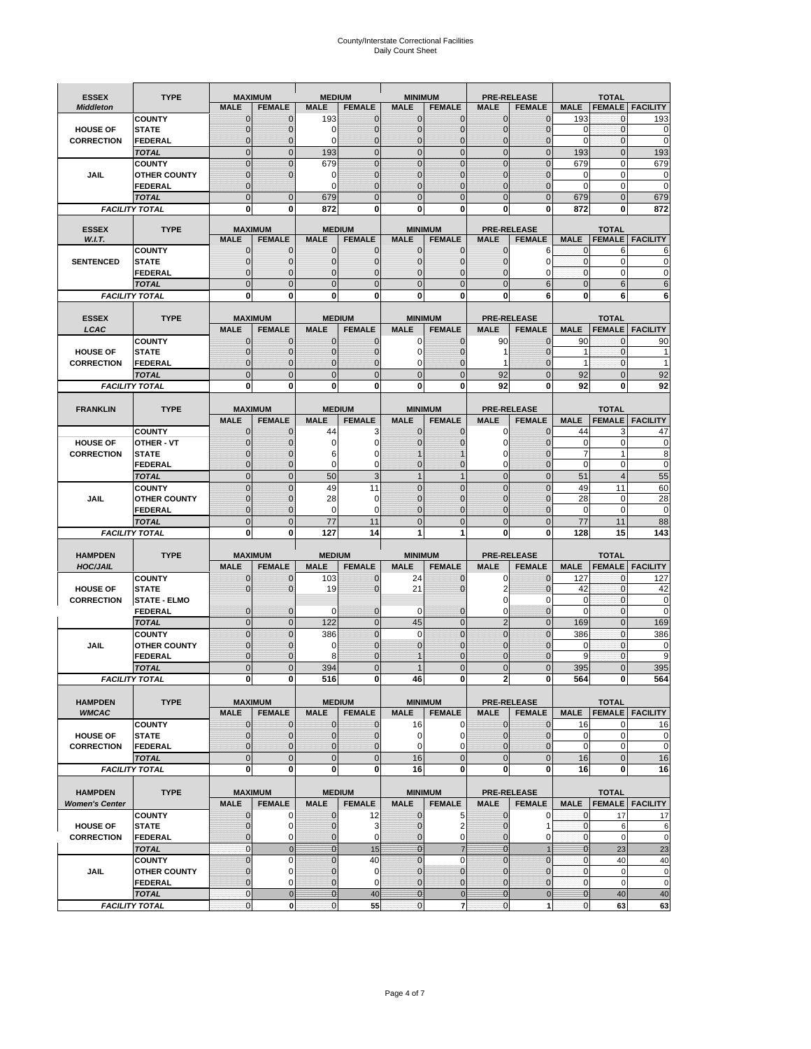# County/Interstate Correctional Facilities Daily Count Sheet

| <b>ESSEX</b>          | <b>TYPE</b>                           |                             | <b>MAXIMUM</b>                   | <b>MEDIUM</b>               |                                | <b>MINIMUM</b>               |                                 |                               | <b>PRE-RELEASE</b>                  |                  | <b>TOTAL</b>                  |                          |
|-----------------------|---------------------------------------|-----------------------------|----------------------------------|-----------------------------|--------------------------------|------------------------------|---------------------------------|-------------------------------|-------------------------------------|------------------|-------------------------------|--------------------------|
| <b>Middleton</b>      |                                       | <b>MALE</b>                 | <b>FEMALE</b>                    | <b>MALE</b>                 | <b>FEMALE</b>                  | <b>MALE</b>                  | <b>FEMALE</b>                   | MALE                          | <b>FEMALE</b>                       | <b>MALE</b>      | <b>FEMALE</b>                 | <b>FACILITY</b>          |
|                       | <b>COUNTY</b>                         | 0                           | 0                                | 193                         | 0                              | $\mathbf 0$                  | $\mathbf{0}$                    | 0                             | $\Omega$                            | 193              | 0                             | 193                      |
| <b>HOUSE OF</b>       | <b>STATE</b>                          | 0                           | $\mathbf 0$                      | $\Omega$                    | 0                              | $\mathbf{0}$                 | $\Omega$                        | $\mathbf 0$                   | $\Omega$                            | $\Omega$         | $\Omega$                      | 0                        |
| <b>CORRECTION</b>     | <b>FEDERAL</b>                        | 0                           | $\mathbf 0$                      | 0                           | 0                              | $\mathbf{0}$                 | $\mathbf 0$                     | $\mathbf{0}$                  | $\mathbf 0$                         | $\mathbf 0$      | $\mathbf{0}$                  | $\mathbf 0$              |
|                       | <b>TOTAL</b>                          | $\overline{0}$              | $\overline{0}$                   | 193                         | $\mathbf 0$                    | $\mathbf 0$                  | $\overline{0}$                  | $\mathbf 0$                   | $\overline{0}$                      | 193              | $\mathbf{0}$                  | 193                      |
|                       | <b>COUNTY</b>                         | $\mathbf{0}$<br>$\mathbf 0$ | $\overline{0}$<br>$\overline{0}$ | 679                         | $\overline{0}$<br>0            | $\mathbf{0}$<br>$\mathbf{0}$ | $\Omega$                        | $\mathbf 0$<br>$\mathbf 0$    | $\Omega$<br>$\mathcal{C}$           | 679              | $\mathbf 0$                   | 679                      |
| JAIL                  | <b>OTHER COUNTY</b><br><b>FEDERAL</b> | $\mathbf{0}$                |                                  | 0<br>$\Omega$               | $\Omega$                       | $\mathbf{0}$                 | $\mathbf{0}$<br>$\Omega$        | $\mathbf{0}$                  | 0                                   | 0<br>$\Omega$    | $\mathbf 0$<br>$\mathbf 0$    | 0<br>0                   |
|                       | <b>TOTAL</b>                          | $\overline{0}$              | $\mathbf 0$                      | 679                         | $\Omega$                       | $\Omega$                     | $\Omega$                        | $\overline{0}$                | $\Omega$                            | 679              | $\Omega$                      | 679                      |
|                       | <b>FACILITY TOTAL</b>                 | 0                           | 0                                | 872                         | O                              | $\bf{0}$                     | 0                               | 0                             | 0                                   | 872              | 0                             | 872                      |
|                       |                                       |                             |                                  |                             |                                |                              |                                 |                               |                                     |                  |                               |                          |
| <b>ESSEX</b>          | <b>TYPE</b>                           |                             | <b>MAXIMUM</b>                   |                             | <b>MEDIUM</b>                  |                              | <b>MINIMUM</b>                  |                               | <b>PRE-RELEASE</b>                  |                  | <b>TOTAL</b>                  |                          |
| W.I.T.                |                                       | <b>MALE</b>                 | <b>FEMALE</b>                    | <b>MALE</b>                 | <b>FEMALE</b>                  | <b>MALE</b>                  | <b>FEMALE</b>                   | <b>MALE</b>                   | <b>FEMALE</b>                       | <b>MALE</b>      | <b>FEMALE</b>                 | <b>FACILITY</b>          |
| <b>SENTENCED</b>      | <b>COUNTY</b>                         | $\mathbf{0}$<br>0           | 0<br>$\mathbf 0$                 | $\mathbf 0$<br>$\mathbf{0}$ | 0<br>$\mathbf 0$               | $\mathbf 0$<br>$\mathbf{0}$  | $\mathbf{0}$                    | $\mathbf 0$                   | 6<br>$\Omega$                       | 0<br>$\mathbf 0$ | 6<br>$\mathbf 0$              | 6<br>0                   |
|                       | <b>STATE</b><br><b>FEDERAL</b>        | $\mathbf 0$                 | $\mathbf 0$                      | $\mathbf{0}$                | 0                              | $\mathbf{0}$                 | $\mathbf{0}$<br>0               | $\mathbf{0}$<br>$\mathbf 0$   | 0                                   | $\mathbf{0}$     | $\mathbf 0$                   | 0                        |
|                       | <b>TOTAL</b>                          | $\overline{0}$              | $\overline{0}$                   | $\mathbf 0$                 | $\overline{0}$                 | $\mathbf{0}$                 | $\overline{0}$                  | $\overline{0}$                | 6                                   | $\mathbf{0}$     | 6                             | 6                        |
|                       | <b>FACILITY TOTAL</b>                 | 0                           | 0                                | $\bf{0}$                    | O                              | $\bf{0}$                     | $\mathbf{0}$                    | 0                             | 6                                   | $\bf{0}$         | 6                             | 6                        |
|                       |                                       |                             |                                  |                             |                                |                              |                                 |                               |                                     |                  |                               |                          |
| <b>ESSEX</b>          | <b>TYPE</b>                           |                             | <b>MAXIMUM</b>                   |                             | <b>MEDIUM</b>                  |                              | <b>MINIMUM</b>                  |                               | <b>PRE-RELEASE</b>                  |                  | <b>TOTAL</b>                  |                          |
| LCAC                  |                                       | <b>MALE</b>                 | <b>FEMALE</b>                    | <b>MALE</b>                 | <b>FEMALE</b>                  | <b>MALE</b>                  | <b>FEMALE</b>                   | <b>MALE</b>                   | <b>FEMALE</b>                       | <b>MALE</b>      |                               | <b>FEMALE</b>   FACILITY |
|                       | <b>COUNTY</b>                         | 0                           | 0                                | $\mathbf{0}$                | 0                              | 0                            | $\mathbf{0}$                    | 90                            | $\Omega$                            | 90               | $\Omega$                      | 90                       |
| <b>HOUSE OF</b>       | <b>STATE</b>                          | 0                           | $\overline{0}$                   | $\mathbf 0$                 | 0                              | $\mathbf 0$                  | $\Omega$                        | 1                             | $\sqrt{ }$                          | 1                | $\mathbf 0$                   |                          |
| <b>CORRECTION</b>     | FEDERAL                               | 0                           | 0                                | $\mathbf{0}$                | 0                              | 0                            | $\Omega$                        | 1                             | $\mathbf 0$                         | $\mathbf{1}$     | $\mathbf 0$                   | 1                        |
|                       | <b>TOTAL</b>                          | $\Omega$                    | $\overline{0}$                   | $\mathbf 0$                 | $\overline{0}$                 | $\mathbf{0}$                 | $\Omega$                        | 92                            | $\Omega$                            | 92               | $\Omega$                      | 92                       |
|                       | <b>FACILITY TOTAL</b>                 | 0                           | 0                                | 0                           | 0                              | $\bf{0}$                     | 0                               | 92                            | $\bf{0}$                            | 92               | 0                             | 92                       |
|                       |                                       |                             |                                  |                             |                                |                              |                                 |                               |                                     |                  |                               |                          |
| <b>FRANKLIN</b>       | <b>TYPE</b>                           | <b>MALE</b>                 | <b>MAXIMUM</b><br><b>FEMALE</b>  | <b>MALE</b>                 | <b>MEDIUM</b><br><b>FEMALE</b> | <b>MALE</b>                  | <b>MINIMUM</b><br><b>FEMALE</b> | <b>MALE</b>                   | <b>PRE-RELEASE</b><br><b>FEMALE</b> | <b>MALE</b>      | <b>TOTAL</b><br><b>FEMALE</b> | <b>FACILITY</b>          |
|                       | <b>COUNTY</b>                         | $\mathbf{0}$                | 0                                | 44                          | 3                              | $\mathbf{0}$                 | 0                               | 0                             | $\Omega$                            | 44               | 3                             | 47                       |
| <b>HOUSE OF</b>       | <b>OTHER - VT</b>                     | 0                           | $\overline{0}$                   | 0                           | 0                              | $\overline{0}$               |                                 | $\mathbf 0$                   | $\Omega$                            | $\mathbf 0$      | $\mathbf 0$                   | $\mathbf 0$              |
| <b>CORRECTION</b>     | <b>STATE</b>                          | $\Omega$                    | $\mathbf 0$                      | 6                           | 0                              |                              |                                 | 0                             | $\sqrt{ }$                          | $\overline{7}$   | $\mathbf{1}$                  | 8                        |
|                       | FEDERAL                               | $\mathbf{0}$                | $\overline{0}$                   | 0                           | 0                              | $\mathbf{0}$                 | $\mathbf{0}$                    | 0                             | $\overline{0}$                      | $\mathbf 0$      | $\mathbf 0$                   | $\pmb{0}$                |
|                       | <b>TOTAL</b>                          | $\overline{0}$              | $\mathbf{0}$                     | 50                          | 3                              | $\overline{1}$               | $\mathbf{1}$                    | $\mathbf 0$                   | $\overline{0}$                      | 51               | $\overline{4}$                | 55                       |
|                       | <b>COUNTY</b>                         | $\Omega$                    | $\overline{0}$                   | 49                          | 11                             | $\Omega$                     | $\Omega$                        | $\mathbf 0$                   | $\Omega$                            | 49               | 11                            | 60                       |
| JAIL                  | <b>OTHER COUNTY</b>                   | 0                           | $\overline{0}$                   | 28                          | 0                              | $\mathbf 0$                  | $\Omega$                        | $\mathbf 0$                   | $\sqrt{ }$                          | 28               | $\mathbf 0$                   | 28                       |
|                       | <b>FEDERAL</b>                        | 0                           | 0                                | 0                           | 0                              | $\mathbf{0}$                 | $\Omega$                        | $\mathbf{0}$                  | $\Omega$                            | $\mathbf 0$      | $\mathbf 0$                   | $\mathbf 0$              |
|                       | <b>TOTAL</b>                          | $\mathbf{0}$                | $\overline{0}$                   | 77                          | 11                             | $\mathbf{0}$                 | $\Omega$                        | $\overline{0}$                | $\Omega$                            | 77               | 11                            | 88                       |
|                       | <b>FACILITY TOTAL</b>                 | 0                           | 0                                | 127                         | 14                             | 1                            | 1                               | 0                             | 0                                   | 128              | 15                            | 143                      |
| <b>HAMPDEN</b>        | <b>TYPE</b>                           |                             | <b>MAXIMUM</b>                   | <b>MEDIUM</b>               |                                | <b>MINIMUM</b>               |                                 |                               | <b>PRE-RELEASE</b>                  |                  | <b>TOTAL</b>                  |                          |
| <b>HOC/JAIL</b>       |                                       | <b>MALE</b>                 | <b>FEMALE</b>                    | <b>MALE</b>                 | <b>FEMALE</b>                  | <b>MALE</b>                  | <b>FEMALE</b>                   | <b>MALE</b>                   | <b>FEMALE</b>                       | <b>MALE</b>      | <b>FEMALE</b>                 | <b>FACILITY</b>          |
|                       | <b>COUNTY</b>                         | 0                           | $\mathbf 0$                      | 103                         | 0                              | 24                           | 0                               | 0                             | $\mathbf 0$                         | 127              | $\mathbf{0}$                  | 127                      |
| <b>HOUSE OF</b>       | <b>STATE</b>                          | 0                           | $\overline{0}$                   | 19                          | 0                              | 21                           | $\Omega$                        | 2                             | $\Omega$                            | 42               | $\Omega$                      | 42                       |
| <b>CORRECTION</b>     | <b>STATE - ELMO</b>                   |                             |                                  |                             |                                |                              |                                 | $\mathbf 0$                   | 0                                   | 0                | $\mathbf{0}$                  | $\mathbf 0$              |
|                       | <b>FEDERAL</b>                        | $\mathbf{0}$                | $\mathbf 0$                      | $\Omega$                    | 0                              | 0                            | $\mathbf{0}$                    | $\mathbf 0$                   | 0                                   | $\Omega$         | $\Omega$                      | 0                        |
|                       | <b>TOTAL</b>                          | $\overline{0}$              | $\overline{0}$                   | 122                         | $\overline{0}$                 | 45                           | $\mathbf{0}$                    | $\overline{2}$                | $\Omega$                            | 169              | $\Omega$                      | 169                      |
|                       | <b>COUNTY</b>                         | $\overline{0}$              | $\overline{0}$                   | 386                         | 0                              | $\mathbf 0$                  | $\overline{0}$                  | $\overline{0}$                | $\overline{0}$                      | 386              | $\mathbf{0}$                  | 386                      |
| <b>JAIL</b>           | <b>OTHER COUNTY</b>                   | 0<br>$\Omega$               | $\mathbf 0$<br>$\mathbf 0$       | 0                           | 0<br>$\Omega$                  | $\mathbf{0}$                 | $\Omega$<br>$\Omega$            | $\mathbf 0$                   | $\sqrt{ }$<br>$\Omega$              | $\mathbf 0$<br>9 | $\mathbf 0$                   | 0<br>9                   |
|                       | <b>FEDERAL</b><br><b>TOTAL</b>        | $\overline{0}$              | $\overline{0}$                   | 8<br>394                    | $\Omega$                       |                              | $\overline{0}$                  | $\mathbf 0$<br>$\overline{0}$ | $\overline{0}$                      | 395              | 0<br>$\Omega$                 | 395                      |
|                       | <b>FACILITY TOTAL</b>                 |                             |                                  |                             |                                |                              |                                 |                               |                                     |                  |                               |                          |
|                       |                                       | $\mathbf{0}$                | $\boldsymbol{0}$                 | 516                         | 0                              | 46                           | 0                               | 2                             | 0                                   | 564              | 0                             | 564                      |
| <b>HAMPDEN</b>        | <b>TYPE</b>                           |                             | <b>MAXIMUM</b>                   |                             | <b>MEDIUM</b>                  |                              | <b>MINIMUM</b>                  |                               | <b>PRE-RELEASE</b>                  |                  | <b>TOTAL</b>                  |                          |
| <b>WMCAC</b>          |                                       | <b>MALE</b>                 | <b>FEMALE</b>                    | <b>MALE</b>                 | <b>FEMALE</b>                  | <b>MALE</b>                  | <b>FEMALE</b>                   | <b>MALE</b>                   | <b>FEMALE</b>                       | <b>MALE</b>      |                               | <b>FEMALE   FACILITY</b> |
|                       | <b>COUNTY</b>                         | $\mathbf 0$                 | $\mathbf{0}$                     | $\mathbf 0$                 | 0                              | 16                           | 0                               | $\mathbf 0$                   | $\mathbf 0$                         | 16               | 0                             | 16                       |
| <b>HOUSE OF</b>       | <b>STATE</b>                          | $\mathbf{0}$                | $\mathbf{0}$                     | $\overline{0}$              | 0                              | $\mathbf 0$                  | 0                               | $\mathbf{0}$                  | $\overline{0}$                      | $\mathbf 0$      | $\mathbf 0$                   | 0                        |
| <b>CORRECTION</b>     | <b>FEDERAL</b>                        | $\mathbf{0}$                | 0                                | $\overline{0}$              | 0                              | $\mathbf 0$                  | $\Omega$                        | 0                             | 0                                   | $\mathbf 0$      | $\mathbf 0$                   | $\pmb{0}$                |
|                       | <b>TOTAL</b>                          | $\mathbf{0}$                | $\overline{0}$                   | $\overline{0}$              | $\overline{0}$                 | 16                           | $\mathbf{0}$                    | $\mathbf 0$                   | $\mathbf 0$                         | 16               | $\mathbf 0$                   | 16                       |
|                       | <b>FACILITY TOTAL</b>                 | $\bf{0}$                    | $\mathbf 0$                      | $\mathbf{0}$                | 0                              | 16                           | 0                               | 0                             | $\bf{0}$                            | 16               | 0                             | 16                       |
|                       |                                       |                             |                                  |                             |                                |                              |                                 |                               |                                     |                  |                               |                          |
| <b>HAMPDEN</b>        | <b>TYPE</b>                           | <b>MALE</b>                 | <b>MAXIMUM</b><br><b>FEMALE</b>  | <b>MALE</b>                 | <b>MEDIUM</b><br><b>FEMALE</b> | <b>MALE</b>                  | <b>MINIMUM</b>                  | <b>MALE</b>                   | <b>PRE-RELEASE</b><br><b>FEMALE</b> | <b>MALE</b>      | <b>TOTAL</b>                  | <b>FEMALE</b> FACILITY   |
| <b>Women's Center</b> | <b>COUNTY</b>                         | 0                           | 0                                | $\mathbf 0$                 | 12                             | $\mathbf 0$                  | <b>FEMALE</b><br>5              | 0                             | 0                                   | 0                | 17                            | 17                       |
| <b>HOUSE OF</b>       | <b>STATE</b>                          | $\mathbf 0$                 | $\mathbf 0$                      | $\mathbf{0}$                | 3                              | $\mathbf{0}$                 | 2                               | $\mathbf 0$                   | 1                                   | $\mathbf 0$      | 6                             | 6                        |
| <b>CORRECTION</b>     | <b>FEDERAL</b>                        | 0                           | 0                                | 0                           | 0                              | $\mathbf{0}$                 | 0                               | $\mathbf{0}$                  | 0                                   | $\overline{0}$   | $\mathbf 0$                   | $\mathbf 0$              |
|                       | <b>TOTAL</b>                          | $\mathbf{0}$                | $\mathbf 0$                      | $\overline{0}$              | 15                             | $\overline{0}$               | $\overline{7}$                  | $\mathbf{0}$                  |                                     | $\mathbf{0}$     | 23                            | 23                       |
|                       | <b>COUNTY</b>                         | $\overline{0}$              | $\mathbf 0$                      | $\mathbf{0}$                | 40                             | $\mathbf{0}$                 | 0                               | $\overline{0}$                | $\overline{0}$                      | $\mathbf{0}$     | 40                            | 40                       |
| <b>JAIL</b>           | <b>OTHER COUNTY</b>                   | 0                           | $\mathbf 0$                      | $\mathbf 0$                 | 0                              | $\mathbf 0$                  | $\mathbf{0}$                    | 0                             | $\Omega$                            | $\mathbf 0$      | $\mathbf 0$                   | 0                        |
|                       | <b>FEDERAL</b>                        | $\overline{0}$              | $\mathbf 0$                      | $\mathbf{0}$                | 0                              | $\mathbf 0$                  | $\mathbf{0}$                    | $\mathbf 0$                   | $\overline{0}$                      | $\mathbf 0$      | $\mathbf 0$                   | $\mathbf 0$              |
|                       | <b>TOTAL</b>                          | $\mathbf 0$                 | $\mathbf 0$                      | $\overline{0}$              | 40                             | $\overline{0}$               | $\mathbf 0$                     | $\mathbf{0}$                  | $\mathbf 0$                         | $\mathbf{0}$     | 40                            | 40                       |
|                       | <b>FACILITY TOTAL</b>                 | $\pmb{0}$                   | $\mathbf 0$                      | $\mathbf{O}$                | 55                             | $\mathbf{0}$                 | $\overline{7}$                  | $\mathbf 0$                   | 1                                   | $\overline{0}$   | 63                            | 63                       |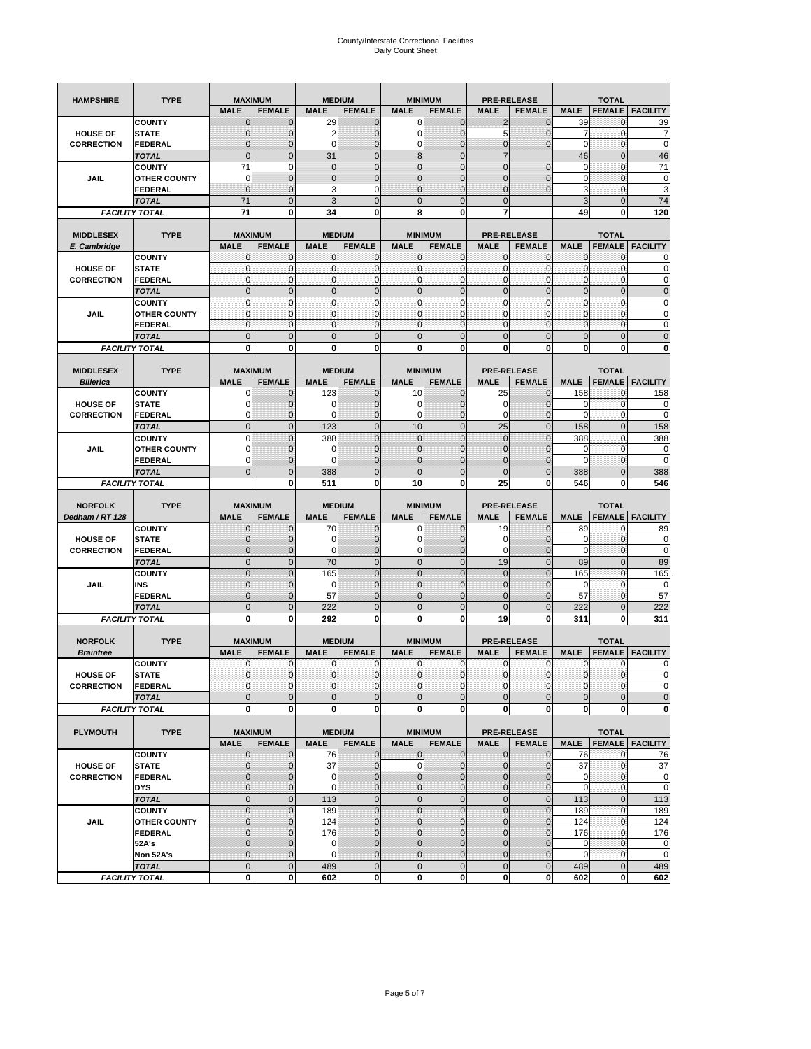| <b>HAMPSHIRE</b>  | <b>TYPE</b>                          | <b>MAXIMUM</b>               |                              | <b>MEDIUM</b>              |                              | <b>MINIMUM</b>    |                              | <b>PRE-RELEASE</b>           |                             | <b>TOTAL</b>               |                                |                                   |
|-------------------|--------------------------------------|------------------------------|------------------------------|----------------------------|------------------------------|-------------------|------------------------------|------------------------------|-----------------------------|----------------------------|--------------------------------|-----------------------------------|
|                   |                                      | <b>MALE</b>                  | <b>FEMALE</b>                | <b>MALE</b>                | <b>FEMALE</b>                | <b>MALE</b>       | <b>FEMALE</b>                | <b>MALE</b>                  | <b>FEMALE</b>               | <b>MALE</b>                | <b>FEMALE</b>                  | <b>FACILITY</b>                   |
|                   | <b>COUNTY</b>                        | $\mathbf 0$                  | $\overline{0}$               | 29                         | $\mathbf 0$                  | 8                 | $\mathbf{0}$                 | $\overline{2}$               | $\overline{0}$              | 39                         | 0                              | 39                                |
| <b>HOUSE OF</b>   | <b>STATE</b>                         | $\Omega$                     | 0                            | 2                          | $\mathbf{0}$                 | 0                 | $\mathbf 0$                  | 5                            | 0                           | 7                          | $\mathbf 0$                    | 7                                 |
| <b>CORRECTION</b> | <b>FEDERAL</b>                       | $\mathbf{0}$                 | 0                            | $\mathbf 0$                | $\mathbf{0}$                 | 0                 | $\mathbf{0}$                 | $\mathbf{0}$                 | $\overline{0}$              | $\mathbf 0$                | $\mathbf 0$                    | $\mathbf 0$                       |
|                   | <b>TOTAL</b>                         | $\mathbf{0}$                 | $\mathbf 0$                  | 31                         | $\overline{0}$               | 8                 | $\overline{0}$               | $\overline{7}$               |                             | 46                         | $\mathbf 0$                    | 46                                |
|                   | <b>COUNTY</b>                        | 71                           | $\mathbf 0$                  | $\mathbf 0$                | $\mathbf{0}$                 | $\overline{0}$    | $\mathbf 0$                  | $\mathbf{0}$                 | $\mathbf 0$                 | 0                          | $\mathbf 0$                    | 71                                |
| JAIL              | <b>OTHER COUNTY</b>                  | 0                            | $\overline{0}$               | $\overline{0}$             | $\mathbf{0}$                 | $\overline{0}$    | $\mathbf{0}$                 | 0                            | $\overline{0}$              | 0                          | $\mathbf{0}$                   | $\pmb{0}$                         |
|                   | <b>FEDERAL</b>                       | $\mathbf{0}$                 | $\overline{0}$               | 3                          | 0                            | $\overline{0}$    | $\overline{0}$               | $\mathbf{0}$                 | $\overline{0}$              | 3                          | $\mathbf 0$                    | 3                                 |
|                   | <b>TOTAL</b>                         | 71                           | $\overline{0}$               | 3                          | $\mathbf{0}$                 | $\bf 0$           | $\overline{0}$               | $\mathbf{0}$                 |                             | 3                          | $\mathbf 0$                    | 74                                |
|                   | <b>FACILITY TOTAL</b>                | 71                           | 0                            | 34                         | 0                            | 8                 | 0                            | 7                            |                             | 49                         | $\bf{0}$                       | 120                               |
|                   |                                      |                              |                              |                            |                              |                   |                              |                              |                             |                            |                                |                                   |
| <b>MIDDLESEX</b>  | <b>TYPE</b>                          | <b>MAXIMUM</b>               |                              |                            | <b>MEDIUM</b>                | <b>MINIMUM</b>    |                              |                              | <b>PRE-RELEASE</b>          |                            | <b>TOTAL</b>                   |                                   |
| E. Cambridge      |                                      | <b>MALE</b>                  | <b>FEMALE</b>                | <b>MALE</b>                | <b>FEMALE</b>                | <b>MALE</b>       | <b>FEMALE</b>                | <b>MALE</b>                  | <b>FEMALE</b>               | <b>MALE</b>                | <b>FEMALE</b>                  | <b>FACILITY</b>                   |
|                   | <b>COUNTY</b>                        | 0                            | $\mathbf 0$                  | 0                          | 0                            | 0                 | $\mathbf{0}$                 | $\mathbf 0$                  | 0                           | 0                          | $\mathbf{0}$                   | 0                                 |
| <b>HOUSE OF</b>   | <b>STATE</b>                         | $\pmb{0}$<br>$\mathbf{0}$    | $\mathbf{0}$<br>$\mathbf{0}$ | $\mathbf 0$<br>$\mathbf 0$ | $\mathbf 0$<br>$\mathbf{0}$  | 0<br>$\mathbf{0}$ | $\mathbf{0}$<br>$\mathbf{0}$ | $\mathbf 0$<br>$\mathbf{0}$  | 0<br>$\mathbf 0$            | $\mathbf 0$<br>$\mathbf 0$ | $\mathbf 0$<br>$\mathbf 0$     | $\mathbf 0$<br>$\pmb{0}$          |
| <b>CORRECTION</b> | <b>FEDERAL</b>                       | $\mathbf{0}$                 | $\overline{0}$               | $\overline{0}$             |                              | $\overline{0}$    | $\mathbf{0}$                 |                              | $\overline{0}$              | $\overline{0}$             |                                |                                   |
|                   | <b>TOTAL</b>                         | $\mathbf{0}$                 | $\mathbf{0}$                 | $\mathbf 0$                | $\mathbf{0}$<br>$\mathbf{0}$ | $\mathbf{0}$      | $\mathbf{0}$                 | $\mathbf{0}$<br>$\mathbf{O}$ | $\overline{0}$              | $\mathbf 0$                | $\overline{0}$<br>$\mathbf{0}$ | $\pmb{0}$<br>$\pmb{0}$            |
| JAIL              | <b>COUNTY</b><br><b>OTHER COUNTY</b> | $\Omega$                     | $\mathbf 0$                  | $\mathbf{0}$               | $\Omega$                     | $\mathbf{0}$      | $\mathbf{0}$                 | $\mathbf{0}$                 | $\overline{0}$              | $\mathbf 0$                | $\mathbf 0$                    | $\mathbf 0$                       |
|                   | <b>FEDERAL</b>                       | $\mathbf{0}$                 | $\mathbf 0$                  | $\mathbf 0$                | $\mathbf{0}$                 | 0                 | $\mathbf{0}$                 | $\mathbf{O}$                 | 0                           | $\mathbf 0$                | $\mathbf 0$                    | $\mathbf 0$                       |
|                   | <b>TOTAL</b>                         | $\mathbf{0}$                 | $\overline{0}$               | $\overline{0}$             | $\mathbf{0}$                 | $\mathbf 0$       | $\mathbf 0$                  | $\mathbf{0}$                 | $\overline{0}$              | $\mathbf 0$                | $\overline{0}$                 | $\mathbf 0$                       |
|                   | <b>FACILITY TOTAL</b>                | 0                            | $\bf{0}$                     | 0                          | 0                            | 0                 | 0                            | 0                            | 0                           | 0                          | 0                              | $\bf{0}$                          |
|                   |                                      |                              |                              |                            |                              |                   |                              |                              |                             |                            |                                |                                   |
| <b>MIDDLESEX</b>  | <b>TYPE</b>                          | <b>MAXIMUM</b>               |                              |                            | <b>MEDIUM</b>                | <b>MINIMUM</b>    |                              | <b>PRE-RELEASE</b>           |                             |                            | <b>TOTAL</b>                   |                                   |
| <b>Billerica</b>  |                                      | <b>MALE</b>                  | <b>FEMALE</b>                | <b>MALE</b>                | <b>FEMALE</b>                | <b>MALE</b>       | <b>FEMALE</b>                | <b>MALE</b>                  | <b>FEMALE</b>               | <b>MALE</b>                | <b>FEMALE</b>                  | <b>FACILITY</b>                   |
|                   | <b>COUNTY</b>                        | 0                            | $\overline{0}$               | 123                        | $\mathbf 0$                  | 10                | $\mathbf 0$                  | 25                           | $\overline{0}$              | 158                        | $\mathbf{0}$                   | 158                               |
| <b>HOUSE OF</b>   | <b>STATE</b>                         |                              | $\overline{0}$               | 0                          | $\mathbf 0$                  | 0                 | $\overline{0}$               | 0                            | $\overline{0}$              | 0                          | $\mathbf{0}$                   | 0                                 |
| <b>CORRECTION</b> | FEDERAL                              | $\Omega$                     | 0                            | 0                          | $\mathbf{0}$                 | 0                 | $\mathbf{0}$                 | $\mathbf 0$                  | 0                           | $\mathbf 0$                | $\mathbf 0$                    | $\mathbf 0$                       |
|                   | <b>TOTAL</b>                         | $\mathbf{0}$                 | $\overline{0}$               | 123                        | $\mathbf{0}$                 | 10                | $\mathbf{0}$                 | 25                           | $\overline{0}$              | 158                        | $\overline{0}$                 | 158                               |
|                   | <b>COUNTY</b>                        | $\Omega$                     | $\overline{0}$               | 388                        | $\mathbf 0$                  | $\overline{0}$    | $\Omega$                     | $\mathbf{0}$                 | $\overline{0}$              | 388                        | $\mathbf{0}$                   | 388                               |
| JAIL              | <b>OTHER COUNTY</b>                  | $\Omega$                     | 0                            | 0                          | $\overline{0}$               | 0                 | $\mathbf{0}$                 | $\overline{0}$               | 0                           | 0                          | $\mathbf{0}$                   | 0                                 |
|                   | <b>FEDERAL</b>                       | 0                            | $\overline{0}$               | $\mathbf 0$                | $\mathbf{0}$                 | $\overline{0}$    | $\overline{0}$               | 0                            | $\overline{0}$              | $\mathbf 0$                | $\mathbf{0}$                   | $\mathbf 0$                       |
|                   | <b>TOTAL</b>                         | $\Omega$                     | $\mathbf 0$                  | 388                        | $\mathbf{0}$                 | $\mathbf 0$       | $\mathbf 0$                  | $\mathbf{0}$                 | $\overline{0}$              | 388                        | $\mathbf 0$                    | 388                               |
|                   | <b>FACILITY TOTAL</b>                |                              | $\mathbf 0$                  | 511                        | $\bf{0}$                     | 10                | 0                            | 25                           | 0                           | 546                        | $\bf{0}$                       | 546                               |
|                   |                                      |                              |                              |                            |                              |                   |                              |                              |                             |                            |                                |                                   |
|                   |                                      |                              |                              |                            |                              |                   |                              |                              |                             |                            |                                |                                   |
| <b>NORFOLK</b>    | <b>TYPE</b>                          | <b>MAXIMUM</b>               |                              |                            | <b>MEDIUM</b>                | <b>MINIMUM</b>    |                              |                              | <b>PRE-RELEASE</b>          |                            | <b>TOTAL</b>                   |                                   |
| Dedham / RT 128   |                                      | <b>MALE</b>                  | <b>FEMALE</b>                | <b>MALE</b>                | <b>FEMALE</b>                | <b>MALE</b>       | <b>FEMALE</b>                | <b>MALE</b>                  | <b>FEMALE</b>               | <b>MALE</b>                | <b>FEMALE</b>                  | <b>FACILITY</b>                   |
|                   | <b>COUNTY</b>                        | $\Omega$                     | $\overline{0}$               | 70                         | 0                            | 0                 | $\mathbf 0$                  | 19                           | $\overline{0}$              | 89                         | 0                              | 89                                |
| <b>HOUSE OF</b>   | <b>STATE</b>                         | $\Omega$                     | $\overline{0}$               | 0                          | $\mathbf{0}$                 | 0                 | $\overline{0}$               | 0                            | $\overline{0}$              | 0                          | 0                              | $\mathbf 0$                       |
| <b>CORRECTION</b> | <b>FEDERAL</b>                       | $\Omega$                     | 0                            | 0                          | $\mathbf{0}$                 | 0                 | $\mathbf 0$                  | 0                            | 0                           | $\mathbf 0$                | $\mathbf 0$                    | $\mathbf 0$                       |
|                   | <b>TOTAL</b>                         | $\Omega$                     | $\overline{0}$               | 70                         | $\mathbf{0}$                 | $\mathbf 0$       | $\mathbf 0$                  | 19                           | $\overline{0}$              | 89                         | $\mathbf 0$                    | 89                                |
|                   | <b>COUNTY</b>                        | $\overline{0}$               | $\overline{0}$               | 165                        | $\mathbf{0}$                 | $\overline{0}$    | $\overline{0}$               | $\mathbf{0}$                 | $\overline{0}$              | 165                        | $\mathbf 0$                    | 165                               |
| JAIL              | INS                                  | $\mathbf{0}$                 | 0                            | 0                          | $\overline{0}$               | 0                 | $\mathbf{0}$                 | 0                            | 0                           | 0                          | 0                              | 0                                 |
|                   | <b>FEDERAL</b>                       | $\Omega$                     | $\overline{0}$               | 57                         | $\mathbf 0$                  | $\overline{0}$    | $\overline{0}$               | 0                            | $\overline{0}$              | 57                         | $\mathbf{0}$                   | 57                                |
|                   | <b>TOTAL</b>                         | $\mathbf{0}$                 | $\overline{0}$               | 222                        | $\mathbf{0}$                 | $\overline{0}$    | $\overline{0}$               | $\Omega$                     | $\overline{0}$              | 222                        | $\overline{0}$                 | 222                               |
|                   | <b>FACILITY TOTAL</b>                | $\mathbf 0$                  | $\mathbf 0$                  | 292                        | 0                            | 0                 | 0                            | 19                           | 0                           | 311                        | 0                              | 311                               |
|                   |                                      |                              |                              |                            |                              |                   |                              |                              |                             |                            |                                |                                   |
| <b>NORFOLK</b>    | <b>TYPE</b>                          | <b>MAXIMUM</b>               |                              |                            | <b>MEDIUM</b>                | <b>MINIMUM</b>    |                              |                              | <b>PRE-RELEASE</b>          |                            | <b>TOTAL</b>                   |                                   |
| <b>Braintree</b>  |                                      | <b>MALE</b>                  | <b>FEMALE</b>                | <b>MALE</b>                | <b>FEMALE</b>                | <b>MALE</b>       | <b>FEMALE</b>                | <b>MALE</b>                  | <b>FEMALE</b>               | <b>MALE</b>                | <b>FEMALE</b>                  | <b>FACILITY</b>                   |
|                   | <b>COUNTY</b>                        | $\mathbf 0$                  | $\mathbf 0$                  | 0                          | $\mathbf 0$                  | 0                 | $\mathbf{0}$                 | $\mathbf 0$                  | $\mathbf 0$                 | 0                          | 0                              | 0<br>$\Omega$                     |
| <b>HOUSE OF</b>   | <b>STATE</b>                         | $\mathbf{0}$                 | $\overline{0}$               | $\mathbf 0$                | $\overline{0}$               | $\overline{0}$    | $\mathbf{0}$                 | $\overline{0}$               | $\mathbf{0}$                | $\mathbf{0}$               | 0                              |                                   |
| <b>CORRECTION</b> | FEDERAL                              | $\mathbf 0$                  | 0                            | 0                          | $\mathbf 0$                  | $\mathbf 0$       | 0                            | $\mathbf 0$                  | $\mathbf 0$                 | $\pmb{0}$                  | 0                              | $\mathbf 0$                       |
|                   | <b>TOTAL</b>                         | $\mathbf{0}$<br>$\mathbf{0}$ | $\mathbf 0$<br>$\mathbf{0}$  | $\mathbf 0$<br>0           | $\mathbf{0}$<br>$\mathbf{0}$ | $\bf 0$           | $\pmb{0}$<br>$\bf{0}$        | $\mathbf{0}$<br>$\mathbf 0$  | $\mathbf 0$<br>$\mathbf{0}$ | $\mathbf 0$<br>$\mathbf 0$ | $\mathbf 0$<br>0               | $\mathbf 0$<br>$\mathbf 0$        |
|                   | <b>FACILITY TOTAL</b>                |                              |                              |                            |                              | $\mathbf{0}$      |                              |                              |                             |                            |                                |                                   |
| <b>PLYMOUTH</b>   | <b>TYPE</b>                          |                              | <b>MAXIMUM</b>               |                            | <b>MEDIUM</b>                |                   | <b>MINIMUM</b>               |                              | <b>PRE-RELEASE</b>          |                            | <b>TOTAL</b>                   |                                   |
|                   |                                      | <b>MALE</b>                  | <b>FEMALE</b>                | <b>MALE</b>                | <b>FEMALE</b>                | <b>MALE</b>       | <b>FEMALE</b>                | <b>MALE</b>                  | <b>FEMALE</b>               | <b>MALE</b>                |                                | <b>FEMALE FACILITY</b>            |
|                   | <b>COUNTY</b>                        | $\mathbf{0}$                 | $\mathbf{0}$                 | 76                         | $\mathbf{0}$                 | 0                 | $\mathbf{0}$                 | $\mathbf{0}$                 | $\overline{0}$              | 76                         | 0                              | 76                                |
| <b>HOUSE OF</b>   | <b>STATE</b>                         | $\mathbf{0}$                 | 0                            | 37                         | $\mathbf{0}$                 | 0                 | $\pmb{0}$                    | $\mathbf 0$                  | $\overline{0}$              | 37                         | $\mathbf{0}$                   | 37                                |
| <b>CORRECTION</b> | <b>FEDERAL</b>                       | $\Omega$                     | 0                            | 0                          | $\mathbf{0}$                 | 0                 | $\mathbf{0}$                 | $\mathbf{0}$                 | 0                           | $\mathbf 0$                | $\mathbf{0}$                   | $\mathbf 0$                       |
|                   | <b>DYS</b>                           | $\mathbf{0}$                 | 0                            | $\mathbf 0$                | $\mathbf 0$                  | 0                 | $\pmb{0}$                    | $\mathbf 0$                  | $\overline{0}$              | $\mathbf 0$                | $\mathbf{0}$                   | $\mathbf 0$                       |
|                   | <b>TOTAL</b>                         | $\mathbf 0$                  | $\mathbf 0$                  | 113                        | $\mathbf 0$                  | $\mathbf 0$       | $\mathbf 0$                  | $\mathbf 0$                  | $\mathbf 0$                 | 113                        | $\mathbf 0$                    | 113                               |
|                   | <b>COUNTY</b>                        | $\overline{0}$               | 0                            | 189                        | $\pmb{0}$                    | $\mathbf 0$       | $\mathbf 0$                  | $\pmb{0}$                    | $\mathbf 0$                 | 189                        | $\mathbf{0}$                   | 189                               |
| JAIL              | <b>OTHER COUNTY</b>                  | $\mathbf{0}$                 | 0                            | 124                        | $\overline{0}$               | 0                 | $\mathbf{0}$                 | 0                            | $\overline{0}$              | 124                        | $\mathbf 0$                    | 124                               |
|                   | <b>FEDERAL</b>                       | $\Omega$                     | 0                            | 176                        | $\mathbf 0$                  | 0                 | $\mathbf{0}$                 | 0                            | 0                           | 176                        | $\mathbf 0$                    | 176                               |
|                   | 52A's                                | $\Omega$                     | $\overline{0}$               | 0                          | $\overline{0}$               | $\overline{0}$    | $\mathbf 0$                  | $\overline{0}$               | $\overline{0}$              | 0                          | $\mathbf{0}$                   |                                   |
|                   | Non 52A's                            | $\mathbf{0}$                 | 0                            | 0                          | $\mathbf{0}$                 | 0                 | $\mathbf 0$                  | $\mathbf 0$                  | 0                           | 0                          | $\mathbf 0$                    |                                   |
|                   | <b>TOTAL</b>                         | $\overline{0}$               | $\overline{0}$               | 489                        | $\overline{0}$               | $\overline{0}$    | $\mathbf{0}$                 | $\mathbf{0}$                 | $\mathbf 0$                 | 489                        | $\mathbf 0$                    | $\mathbf 0$<br>$\mathbf 0$<br>489 |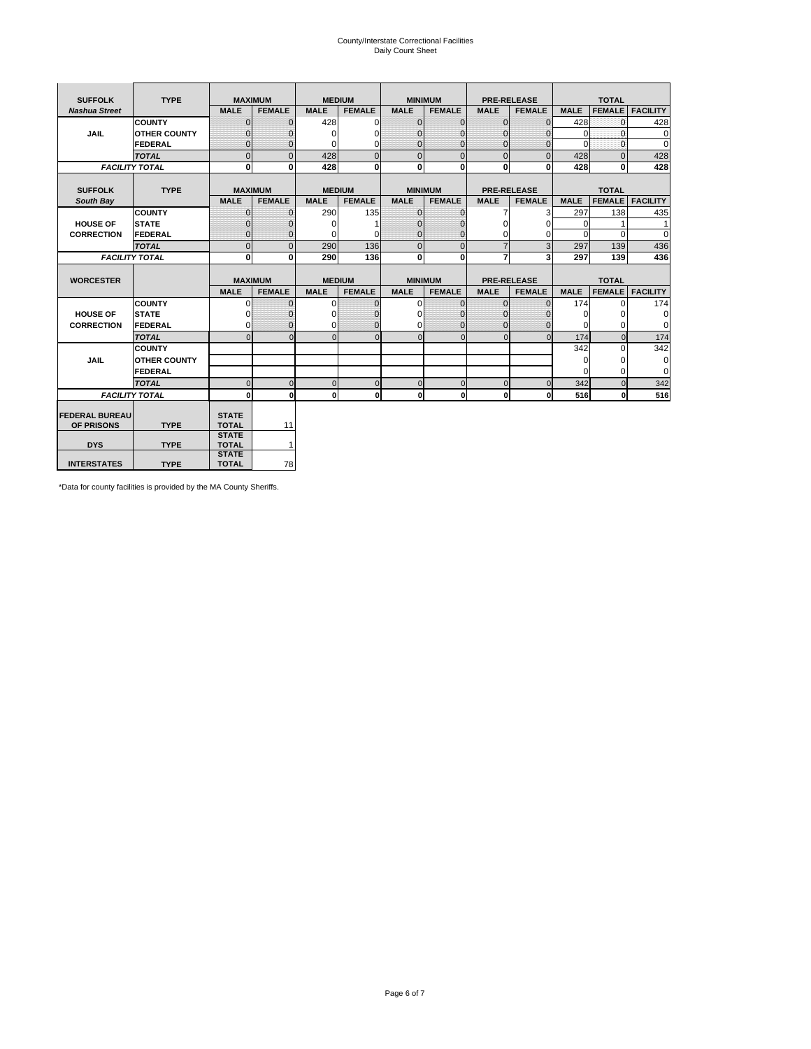# County/Interstate Correctional Facilities Daily Count Sheet

| <b>SUFFOLK</b>        | <b>TYPE</b>         |                              | <b>MAXIMUM</b> | <b>MEDIUM</b> |               | <b>MINIMUM</b> |                |                | <b>PRE-RELEASE</b> |             | <b>TOTAL</b>  |                 |
|-----------------------|---------------------|------------------------------|----------------|---------------|---------------|----------------|----------------|----------------|--------------------|-------------|---------------|-----------------|
| <b>Nashua Street</b>  |                     | <b>MALE</b>                  | <b>FEMALE</b>  | <b>MALE</b>   | <b>FEMALE</b> | <b>MALE</b>    | <b>FEMALE</b>  | <b>MALE</b>    | <b>FEMALE</b>      | <b>MALE</b> | <b>FEMALE</b> | <b>FACILITY</b> |
|                       | <b>COUNTY</b>       | $\Omega$                     | $\Omega$       | 428           | 0             | $\mathbf{0}$   | $\Omega$       | $\Omega$       | $\Omega$           | 428         | $\Omega$      | 428             |
| <b>JAIL</b>           | <b>OTHER COUNTY</b> | $\Omega$                     | 0              | $\Omega$      | 0             | $\Omega$       | $\Omega$       | $\Omega$       | $\Omega$           | $\Omega$    | $\Omega$      | $\Omega$        |
|                       | <b>FEDERAL</b>      | $\Omega$                     | $\Omega$       | 0             | 0             | $\Omega$       | $\Omega$       | $\Omega$       | $\Omega$           | $\Omega$    | $\Omega$      | $\Omega$        |
|                       | <b>TOTAL</b>        | $\Omega$                     | $\Omega$       | 428           | $\Omega$      | $\Omega$       | $\overline{0}$ | $\Omega$       | $\Omega$           | 428         | $\Omega$      | 428             |
| <b>FACILITY TOTAL</b> |                     | $\bf{0}$                     | $\bf{0}$       | 428           | 0             | $\mathbf{0}$   | $\bf{0}$       | $\mathbf{0}$   | 0                  | 428         | 0             | 428             |
|                       |                     |                              |                |               |               |                |                |                |                    |             |               |                 |
| <b>SUFFOLK</b>        | <b>TYPE</b>         | <b>MAXIMUM</b>               |                | <b>MEDIUM</b> |               | <b>MINIMUM</b> |                |                | <b>PRE-RELEASE</b> |             | <b>TOTAL</b>  |                 |
| South Bay             |                     | <b>MALE</b>                  | <b>FEMALE</b>  | <b>MALE</b>   | <b>FEMALE</b> | <b>MALE</b>    | <b>FEMALE</b>  | <b>MALE</b>    | <b>FEMALE</b>      | <b>MALE</b> | <b>FEMALE</b> | <b>FACILITY</b> |
|                       | <b>COUNTY</b>       | $\Omega$                     | $\Omega$       | 290           | 135           | $\Omega$       | $\Omega$       | 7              | 3                  | 297         | 138           | 435             |
| <b>HOUSE OF</b>       | <b>STATE</b>        | ŋ                            | $\Omega$       | $\Omega$      | 1             | $\Omega$       | $\Omega$       | $\Omega$       | O                  | $\Omega$    |               | 1               |
| <b>CORRECTION</b>     | FEDERAL             | $\Omega$                     | $\Omega$       | $\Omega$      | 0             | $\mathbf{0}$   | $\mathbf{0}$   | $\Omega$       | 0                  | $\Omega$    | $\Omega$      | $\Omega$        |
|                       | <b>TOTAL</b>        | $\Omega$                     | $\Omega$       | 290           | 136           | $\mathbf{0}$   | $\Omega$       | $\overline{7}$ | 3                  | 297         | 139           | 436             |
| <b>FACILITY TOTAL</b> |                     | 0                            | 0              | 290           | 136           | $\mathbf 0$    | 0              | $\overline{7}$ | 3                  | 297         | 139           | 436             |
|                       |                     |                              |                |               |               |                |                |                |                    |             |               |                 |
| <b>WORCESTER</b>      |                     | <b>MAXIMUM</b>               |                | <b>MEDIUM</b> |               | <b>MINIMUM</b> |                |                | <b>PRE-RELEASE</b> |             | <b>TOTAL</b>  |                 |
|                       |                     | <b>MALE</b>                  | <b>FEMALE</b>  | <b>MALE</b>   | <b>FEMALE</b> | <b>MALE</b>    | <b>FEMALE</b>  | <b>MALE</b>    | <b>FEMALE</b>      | <b>MALE</b> | <b>FEMALE</b> | <b>FACILITY</b> |
|                       |                     |                              |                |               |               |                |                |                |                    |             |               |                 |
|                       | <b>COUNTY</b>       | $\Omega$                     | $\mathbf 0$    | $\Omega$      | 0             | $\mathbf 0$    | $\Omega$       | $\mathbf 0$    | $\Omega$           | 174         | $\Omega$      | 174             |
| <b>HOUSE OF</b>       | <b>STATE</b>        |                              | 0              | 0             | 0             | $\Omega$       | 0              | $\Omega$       |                    | $\Omega$    | 0             | $\mathbf 0$     |
| <b>CORRECTION</b>     | FEDERAL             | $\Omega$                     | $\Omega$       | 0             | $\Omega$      | $\Omega$       | $\Omega$       | $\Omega$       | $\Omega$           | $\Omega$    | $\Omega$      | 0               |
|                       | <b>TOTAL</b>        | $\Omega$                     | $\Omega$       |               | $\Omega$      | $\Omega$       | $\Omega$       | $\Omega$       | $\Omega$           | 174         | $\Omega$      | 174             |
|                       | <b>COUNTY</b>       |                              |                |               |               |                |                |                |                    | 342         | $\Omega$      | 342             |
| <b>JAIL</b>           | <b>OTHER COUNTY</b> |                              |                |               |               |                |                |                |                    | $\Omega$    | 0             | $\mathbf 0$     |
|                       | FEDERAL             |                              |                |               |               |                |                |                |                    | $\Omega$    | $\Omega$      | $\Omega$        |
|                       | <b>TOTAL</b>        | $\mathbf{0}$                 | $\mathbf 0$    | $\Omega$      | $\mathbf 0$   | $\pmb{0}$      | $\mathbf{0}$   | $\mathbf 0$    | $\Omega$           | 342         | ŋ             | 342             |
| <b>FACILITY TOTAL</b> |                     | $\bf{0}$                     | $\mathbf{0}$   | $\mathbf{0}$  | $\mathbf{0}$  | $\mathbf{0}$   | $\mathbf{0}$   | $\mathbf 0$    | 0                  | 516         | 0             | 516             |
|                       |                     |                              |                |               |               |                |                |                |                    |             |               |                 |
| <b>FEDERAL BUREAU</b> |                     | <b>STATE</b>                 |                |               |               |                |                |                |                    |             |               |                 |
| OF PRISONS            | <b>TYPE</b>         | <b>TOTAL</b>                 | 11             |               |               |                |                |                |                    |             |               |                 |
|                       |                     | <b>STATE</b>                 |                |               |               |                |                |                |                    |             |               |                 |
| <b>DYS</b>            | <b>TYPE</b>         | <b>TOTAL</b><br><b>STATE</b> | 1              |               |               |                |                |                |                    |             |               |                 |

\*Data for county facilities is provided by the MA County Sheriffs.